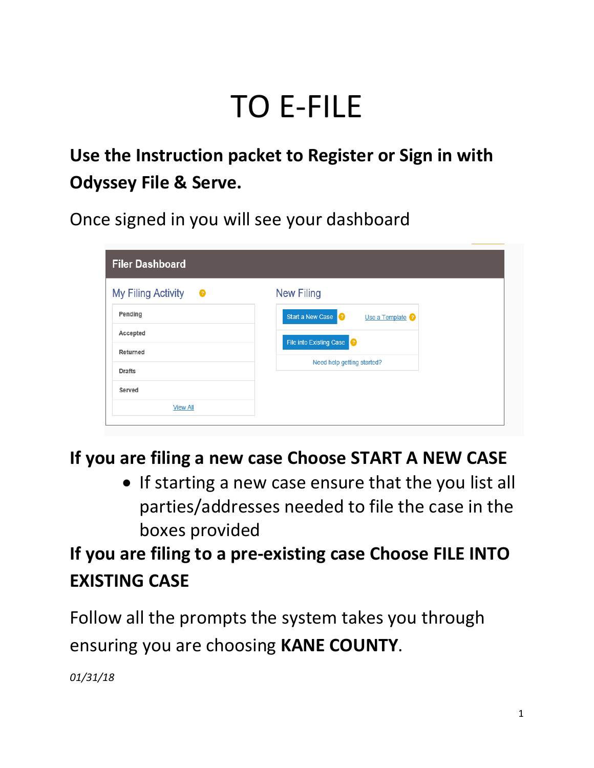# TO E-FILE

# **Use the Instruction packet to Register or Sign in with Odyssey File & Serve.**

Once signed in you will see your dashboard

| <b>Filer Dashboard</b>  |                                        |  |
|-------------------------|----------------------------------------|--|
| My Filing Activity<br>€ | <b>New Filing</b>                      |  |
| Pending                 | Start a New Case ?<br>Use a Template ? |  |
| Accepted                | File into Existing Case                |  |
| Returned                | Need help getting started?             |  |
| <b>Drafts</b>           |                                        |  |
| Served                  |                                        |  |
| <b>View All</b>         |                                        |  |
|                         |                                        |  |

#### **If you are filing a new case Choose START A NEW CASE**

• If starting a new case ensure that the you list all parties/addresses needed to file the case in the boxes provided

# **If you are filing to a pre-existing case Choose FILE INTO EXISTING CASE**

Follow all the prompts the system takes you through ensuring you are choosing **KANE COUNTY**.

*01/31/18*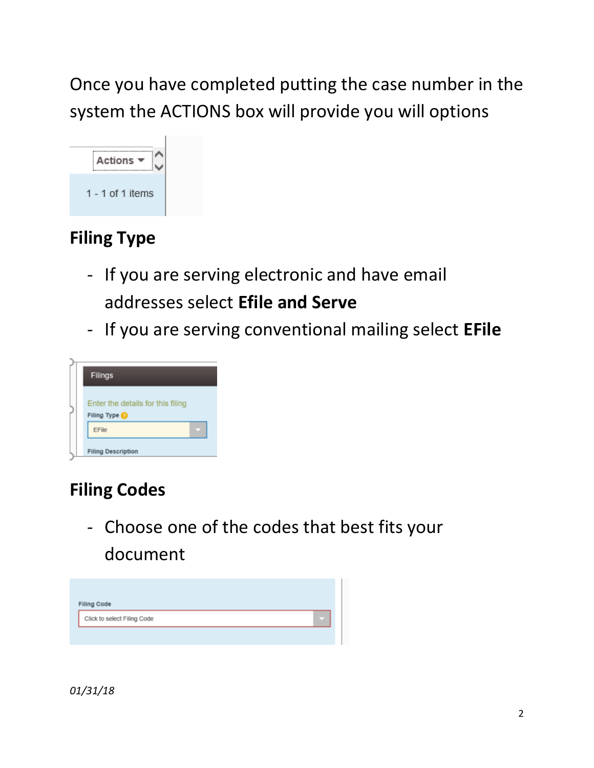Once you have completed putting the case number in the system the ACTIONS box will provide you will options



## **Filing Type**

- If you are serving electronic and have email addresses select **Efile and Serve**
- If you are serving conventional mailing select **EFile**



## **Filing Codes**

- Choose one of the codes that best fits your document

| <b>Filing Code</b>          |  |
|-----------------------------|--|
| Click to select Filing Code |  |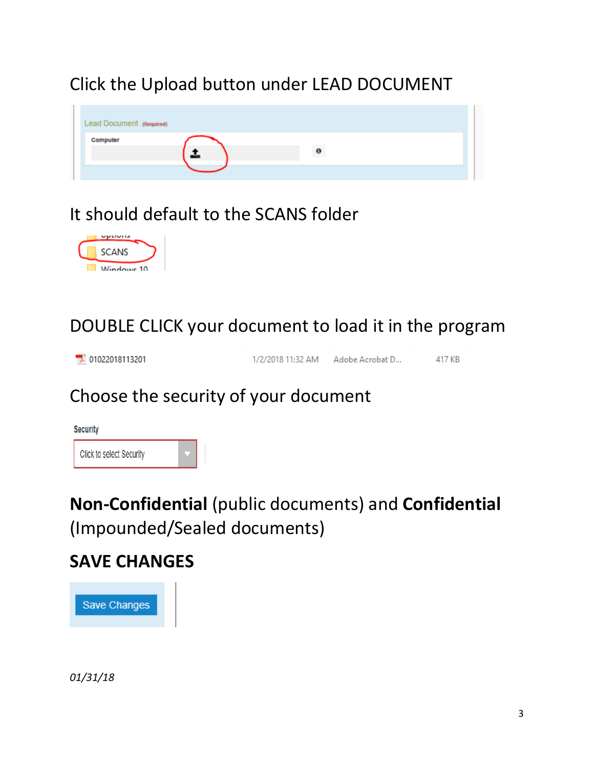## Click the Upload button under LEAD DOCUMENT



## It should default to the SCANS folder



DOUBLE CLICK your document to load it in the program

| $\sqrt{2}$ 01022018113201 | 1/2/2018 11:32 AM | Adobe Acrobat D | 417 KB |
|---------------------------|-------------------|-----------------|--------|
|---------------------------|-------------------|-----------------|--------|

#### Choose the security of your document



**Non-Confidential** (public documents) and **Confidential**  (Impounded/Sealed documents)

#### **SAVE CHANGES**



*01/31/18*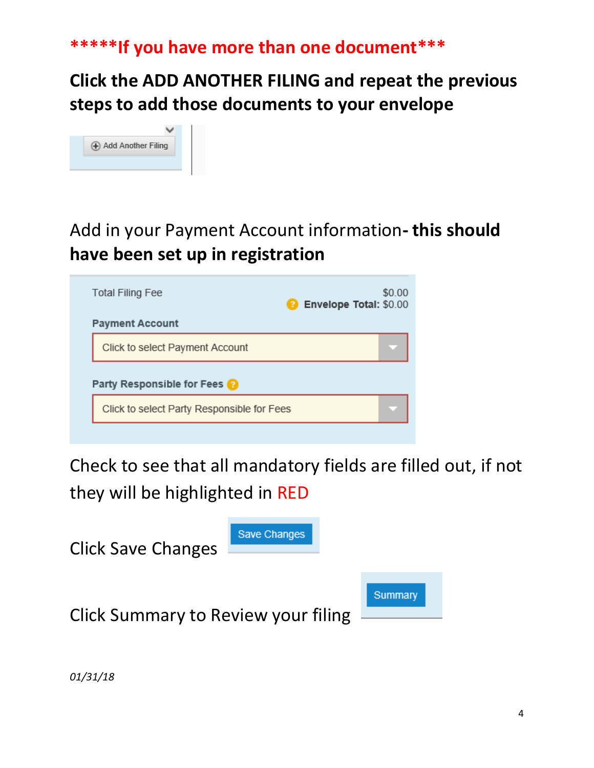#### **\*\*\*\*\*If you have more than one document\*\*\***

#### **Click the ADD ANOTHER FILING and repeat the previous steps to add those documents to your envelope**



## Add in your Payment Account information**- this should have been set up in registration**

| <b>Total Filing Fee</b>                    | \$0.00<br>Envelope Total: \$0.00<br>31 |
|--------------------------------------------|----------------------------------------|
| <b>Payment Account</b>                     |                                        |
| Click to select Payment Account            |                                        |
| Party Responsible for Fees                 |                                        |
| Click to select Party Responsible for Fees |                                        |
|                                            |                                        |

Check to see that all mandatory fields are filled out, if not they will be highlighted in RED